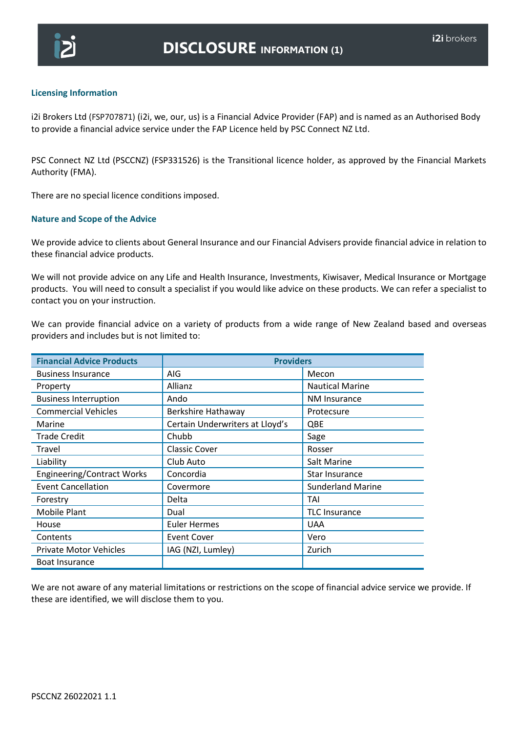

## **Licensing Information**

i2i Brokers Ltd (FSP707871) (i2i, we, our, us) is a Financial Advice Provider (FAP) and is named as an Authorised Body to provide a financial advice service under the FAP Licence held by PSC Connect NZ Ltd.

PSC Connect NZ Ltd (PSCCNZ) (FSP331526) is the Transitional licence holder, as approved by the Financial Markets Authority (FMA).

There are no special licence conditions imposed.

### **Nature and Scope of the Advice**

We provide advice to clients about General Insurance and our Financial Advisers provide financial advice in relation to these financial advice products.

We will not provide advice on any Life and Health Insurance, Investments, Kiwisaver, Medical Insurance or Mortgage products. You will need to consult a specialist if you would like advice on these products. We can refer a specialist to contact you on your instruction.

We can provide financial advice on a variety of products from a wide range of New Zealand based and overseas providers and includes but is not limited to:

| <b>Financial Advice Products</b>  | <b>Providers</b>                |                          |
|-----------------------------------|---------------------------------|--------------------------|
| <b>Business Insurance</b>         | AIG                             | Mecon                    |
| Property                          | Allianz                         | <b>Nautical Marine</b>   |
| <b>Business Interruption</b>      | Ando                            | <b>NM Insurance</b>      |
| <b>Commercial Vehicles</b>        | Berkshire Hathaway              | Protecsure               |
| Marine                            | Certain Underwriters at Lloyd's | QBE                      |
| <b>Trade Credit</b>               | Chubb                           | Sage                     |
| Travel                            | <b>Classic Cover</b>            | Rosser                   |
| Liability                         | Club Auto                       | Salt Marine              |
| <b>Engineering/Contract Works</b> | Concordia                       | Star Insurance           |
| <b>Event Cancellation</b>         | Covermore                       | <b>Sunderland Marine</b> |
| Forestry                          | Delta                           | TAI                      |
| Mobile Plant                      | Dual                            | <b>TLC Insurance</b>     |
| House                             | <b>Euler Hermes</b>             | <b>UAA</b>               |
| Contents                          | <b>Event Cover</b>              | Vero                     |
| <b>Private Motor Vehicles</b>     | IAG (NZI, Lumley)               | Zurich                   |
| <b>Boat Insurance</b>             |                                 |                          |

We are not aware of any material limitations or restrictions on the scope of financial advice service we provide. If these are identified, we will disclose them to you.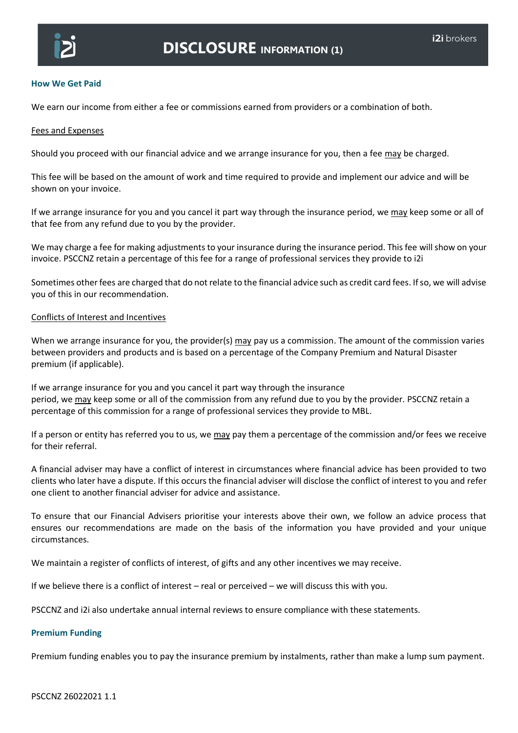

# **How We Get Paid**

We earn our income from either a fee or commissions earned from providers or a combination of both.

### Fees and Expenses

Should you proceed with our financial advice and we arrange insurance for you, then a fee may be charged.

This fee will be based on the amount of work and time required to provide and implement our advice and will be shown on your invoice.

If we arrange insurance for you and you cancel it part way through the insurance period, we may keep some or all of that fee from any refund due to you by the provider.

We may charge a fee for making adjustments to your insurance during the insurance period. This fee will show on your invoice. PSCCNZ retain a percentage of this fee for a range of professional services they provide to i2i

Sometimes other fees are charged that do not relate to the financial advice such as credit card fees. If so, we will advise you of this in our recommendation.

### Conflicts of Interest and Incentives

When we arrange insurance for you, the provider(s)  $\frac{may}{day}$  pay us a commission. The amount of the commission varies between providers and products and is based on a percentage of the Company Premium and Natural Disaster premium (if applicable).

If we arrange insurance for you and you cancel it part way through the insurance period, we may keep some or all of the commission from any refund due to you by the provider. PSCCNZ retain a percentage of this commission for a range of professional services they provide to MBL.

If a person or entity has referred you to us, we may pay them a percentage of the commission and/or fees we receive for their referral.

A financial adviser may have a conflict of interest in circumstances where financial advice has been provided to two clients who later have a dispute. If this occurs the financial adviser will disclose the conflict of interest to you and refer one client to another financial adviser for advice and assistance.

To ensure that our Financial Advisers prioritise your interests above their own, we follow an advice process that ensures our recommendations are made on the basis of the information you have provided and your unique circumstances.

We maintain a register of conflicts of interest, of gifts and any other incentives we may receive.

If we believe there is a conflict of interest – real or perceived – we will discuss this with you.

PSCCNZ and i2i also undertake annual internal reviews to ensure compliance with these statements.

# **Premium Funding**

Premium funding enables you to pay the insurance premium by instalments, rather than make a lump sum payment.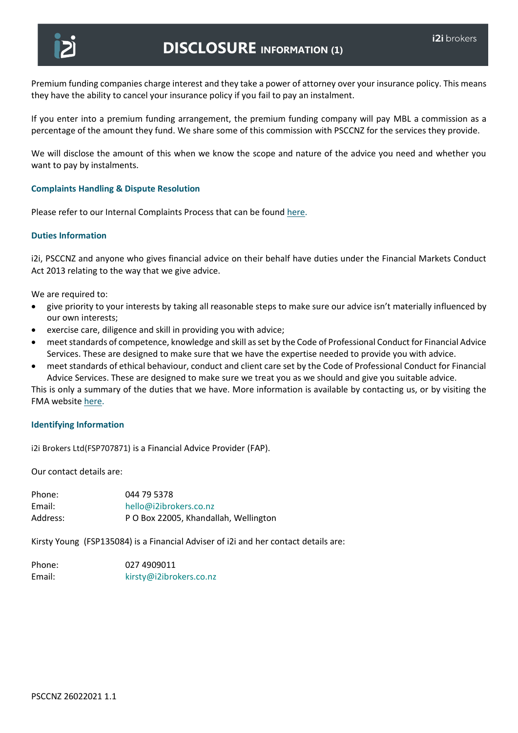

Premium funding companies charge interest and they take a power of attorney over your insurance policy. This means they have the ability to cancel your insurance policy if you fail to pay an instalment.

If you enter into a premium funding arrangement, the premium funding company will pay MBL a commission as a percentage of the amount they fund. We share some of this commission with PSCCNZ for the services they provide.

We will disclose the amount of this when we know the scope and nature of the advice you need and whether you want to pay by instalments.

### **Complaints Handling & Dispute Resolution**

Please refer to our Internal Complaints Process that can be found [here.](https://www.pscconnect.co.nz/contact/compliance/)

### **Duties Information**

i2i, PSCCNZ and anyone who gives financial advice on their behalf have duties under the Financial Markets Conduct Act 2013 relating to the way that we give advice.

We are required to:

- give priority to your interests by taking all reasonable steps to make sure our advice isn't materially influenced by our own interests;
- exercise care, diligence and skill in providing you with advice;
- meet standards of competence, knowledge and skill as set by the Code of Professional Conduct for Financial Advice Services. These are designed to make sure that we have the expertise needed to provide you with advice.
- meet standards of ethical behaviour, conduct and client care set by the Code of Professional Conduct for Financial Advice Services. These are designed to make sure we treat you as we should and give you suitable advice.

This is only a summary of the duties that we have. More information is available by contacting us, or by visiting the FMA website [here.](https://www.fma.govt.nz/)

### **Identifying Information**

i2i Brokers Ltd(FSP707871) is a Financial Advice Provider (FAP).

Our contact details are:

| 044 79 5378                           |
|---------------------------------------|
| hello@i2ibrokers.co.nz                |
| P O Box 22005, Khandallah, Wellington |
|                                       |

Kirsty Young (FSP135084) is a Financial Adviser of i2i and her contact details are:

| Phone: | 027 4909011             |
|--------|-------------------------|
| Email: | kirsty@i2ibrokers.co.nz |